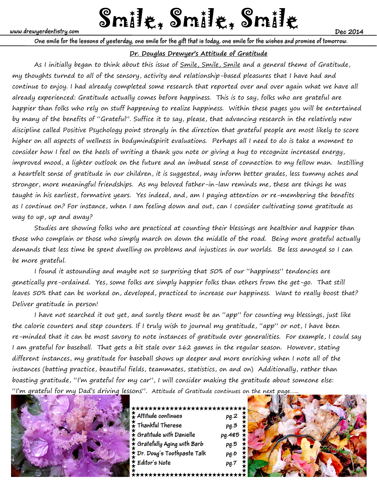# www.drewyerdentistry.com **Smile & Smile & Smile & Smile & Smile & Smile & Dec 2014**

**One smile for the lessons of yesterday, one smile for the gift that is today, one smile for the wishes and promise of tomorrow.**

# **Dr. Douglas Drewyer's Attitude of Gratitude**

As I initially began to think about this issue of Smile, Smile, Smile and a general theme of Gratitude, my thoughts turned to all of the sensory, activity and relationship-based pleasures that I have had and continue to enjoy. I had already completed some research that reported over and over again what we have all already experienced: Gratitude actually comes before happiness. This is to say, folks who are grateful are happier than folks who rely on stuff happening to realize happiness. Within these pages you will be entertained by many of the benefits of "Grateful". Suffice it to say, please, that advancing research in the relatively new discipline called Positive Psychology point strongly in the direction that grateful people are most likely to score higher on all aspects of wellness in bodymindspirit evaluations. Perhaps all I need to do is take a moment to consider how I feel on the heels of writing a thank you note or giving a hug to recognize increased energy, improved mood, a lighter outlook on the future and an imbued sense of connection to my fellow man. Instilling a heartfelt sense of gratitude in our children, it is suggested, may inform better grades, less tummy aches and stronger, more meaningful friendships. As my beloved father-in-law reminds me, these are things he was taught in his earliest, formative years. Yes indeed, and, am I paying attention or re-membering the benefits as I continue on? For instance, when I am feeling down and out, can I consider cultivating some gratitude as way to up, up and away?

 Studies are showing folks who are practiced at counting their blessings are healthier and happier than those who complain or those who simply march on down the middle of the road. Being more grateful actually demands that less time be spent dwelling on problems and injustices in our worlds. Be less annoyed so I can be more grateful.

 I found it astounding and maybe not so surprising that 50% of our "happiness" tendencies are genetically pre-ordained. Yes, some folks are simply happier folks than others from the get-go. That still leaves 50% that can be worked on, developed, practiced to increase our happiness. Want to really boost that? Deliver gratitude in person!

 I have not searched it out yet, and surely there must be an "app" for counting my blessings, just like the calorie counters and step counters. If I truly wish to journal my gratitude, "app" or not, I have been re-minded that it can be most savory to note instances of gratitude over generalities. For example, I could say I am grateful for baseball. That gets a bit stale over 162 games in the regular season. However, stating different instances, my gratitude for baseball shows up deeper and more enriching when I note all of the instances (batting practice, beautiful fields, teammates, statistics, on and on) Additionally, rather than boasting gratitude, "I'm grateful for my car", I will consider making the gratitude about someone else: "I'm grateful for my Dad's driving lessons". Attitude of Gratitude continues on the next page…...



| <del>,★★★★★★★★★★★★★★★★★★★★★★★★★</del> |                          |
|---------------------------------------|--------------------------|
| $\frac{1}{2}$ Attitude continues      | $pg.2 \quad \star$       |
| $\frac{1}{2}$ Thankful Therese        | $pg.3$ $\frac{\star}{2}$ |
| $\epsilon$ Gratitude with Danielle    | $pg.4$ #5 $\star$        |
| $\epsilon$ Gratefully Aging with Barb | pg.5                     |
| pr. Doug's Toothpaste Talk            | pg.6                     |
| Editor's Note                         | *******<br>pg.7          |
|                                       |                          |

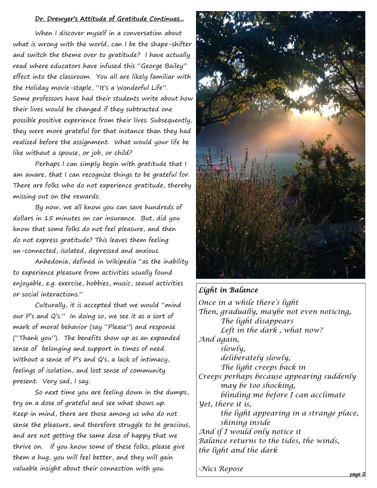#### **Dr. Drewyer's Attitude of Gratitude Continues...**

 When I discover myself in a conversation about what is wrong with the world, can I be the shape-shifter and switch the theme over to gratitude? I have actually read where educators have infused this "George Bailey" effect into the classroom. You all are likely familiar with the Holiday movie-staple, "It's a Wonderful Life". Some professors have had their students write about how their lives would be changed if they subtracted one possible positive experience from their lives. Subsequently, they were more grateful for that instance than they had realized before the assignment. What would your life be like without a spouse, or job, or child?

 Perhaps I can simply begin with gratitude that I am aware, that I can recognize things to be grateful for. There are folks who do not experience gratitude, thereby missing out on the rewards.

 By now, we all know you can save hundreds of dollars in 15 minutes on car insurance. But, did you know that some folks do not feel pleasure, and then do not express gratitude? This leaves them feeling un-connected, isolated, depressed and anxious.

 Anhedonia, defined in Wikipedia "as the inability to experience pleasure from activities usually found enjoyable, e.g. exercise, hobbies, music, sexual activities or social interactions."

 Culturally, it is accepted that we would "mind our P's and Q's." In doing so, we see it as a sort of mark of moral behavior (say "Please") and response ("Thank you"). The benefits show up as an expanded sense of belonging and support in times of need. Without a sense of P's and Q's, a lack of intimacy, feelings of isolation, and lost sense of community present. Very sad, I say.

 So next time you are feeling down in the dumps, try on a dose of grateful and see what shows up. Keep in mind, there are those among us who do not sense the pleasure, and therefore struggle to be gracious, and are not getting the same dose of happy that we thrive on. If you know some of these folks, please give them a hug, you will feel better, and they will gain valuable insight about their connection with you. **page 2** 



# *Light in Balance*

*Once in a while there's light Then, gradually, maybe not even noticing, The light disappears Left in the dark , what now? And again, slowly, deliberately slowly, The light creeps back in Creeps perhaps because appearing suddenly may be too shocking, blinding me before I can acclimate Yet, there it is, the light appearing in a strange place, shining inside And if I would only notice it Balance returns to the tides, the winds, the light and the dark* 

*-Nici Repose*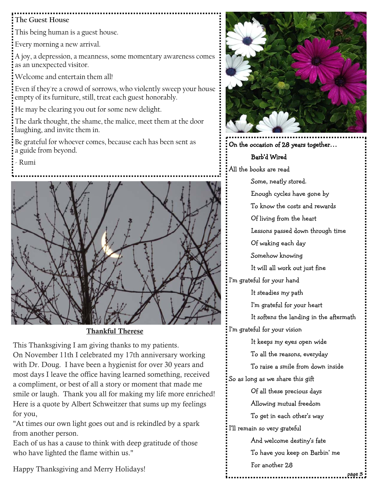# **The Guest House**

This being human is a guest house.

Every morning a new arrival.

A joy, a depression, a meanness, some momentary awareness comes as an unexpected visitor.

Welcome and entertain them all!

Even if they're a crowd of sorrows, who violently sweep your house empty of its furniture, still, treat each guest honorably.

He may be clearing you out for some new delight.

The dark thought, the shame, the malice, meet them at the door laughing, and invite them in.

Be grateful for whoever comes, because each has been sent as a guide from beyond.

- Rumi



Thankful Therese

This Thanksgiving I am giving thanks to my patients. On November 11th I celebrated my 17th anniversary working with Dr. Doug. I have been a hygienist for over 30 years and most days I leave the office having learned something, received a compliment, or best of all a story or moment that made me smile or laugh. Thank you all for making my life more enriched! Here is a quote by Albert Schweitzer that sums up my feelings for you,

"At times our own light goes out and is rekindled by a spark from another person.

Each of us has a cause to think with deep gratitude of those who have lighted the flame within us."

Happy Thanksgiving and Merry Holidays!



On the occasion of 28 years together…

# Barb'd Wired

All the books are read Some, neatly stored.

> Enough cycles have gone by To know the costs and rewards

Of living from the heart

Lessons passed down through time

Of waking each day

Somehow knowing

It will all work out just fine

I'm grateful for your hand

It steadies my path

I'm grateful for your heart

It softens the landing in the aftermath

I'm grateful for your vision

 It keeps my eyes open wide To all the reasons, everyday

To raise a smile from down inside

So as long as we share this gift

Of all these precious days

Allowing mutual freedom

To get in each other's way

I'll remain so very grateful

And welcome destiny's fate

To have you keep on Barbin' me

For another 28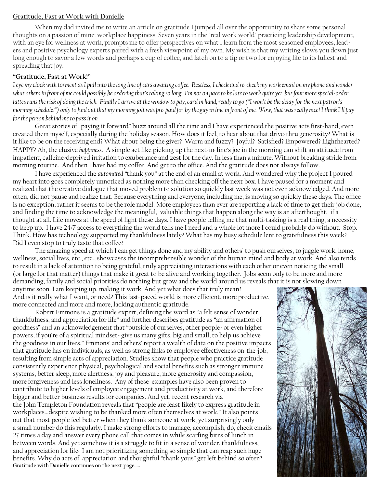### **Gratitude, Fast at Work with Danielle**

 When my dad invited me to write an article on gratitude I jumped all over the opportunity to share some personal thoughts on a passion of mine: workplace happiness. Seven years in the "real work world" practicing leadership development, with an eye for wellness at work, prompts me to offer perspectives on what I learn from the most seasoned employees, leaders and positive psychology experts paired with a fresh viewpoint of my own. My wish is that my writing slows you down just long enough to savor a few words and perhaps a cup of coffee, and latch on to a tip or two for enjoying life to its fullest and spreading that joy.

# **"Gratitude, Fast at Work!"**

*I eye my clock with torment as I pull into the long line of cars awaiting coffee. Restless, I check and re-check my work email on my phone and wonder*  what others in front of me could possibly be ordering that's taking so long. I'm not on pace to be late to work quite yet, but four more special-order *lattes runs the risk of doing the trick. Finally I arrive at the window to pay, card in hand, ready to go ("I won't be the delay for the next patron's morning schedule!") only to find out that my morning jolt was pre-paid for by the guy in line in front of me. Wow, that was really nice! I think I'll pay for the person behind me to pass it on.*

Great stories of "paying it forward" buzz around all the time and I have experienced the positive acts first-hand, even created them myself, especially during the holiday season. How does it feel, to hear about that drive-thru generosity? What is it like to be on the receiving end? What about being the giver? Warm and fuzzy? Joyful? Satisfied? Empowered? Lighthearted? HAPPY? Ah, the elusive *happiness*. A simple act like picking up the next-in-line's joe in the morning can shift an attitude from impatient, caffeine-deprived irritation to exuberance and zest for the day. In less than a minute. Without breaking stride from morning routine. And then I have had my coffee. And get to the office. And the gratitude does not always follow.

I have experienced the *automated* "thank you" at the end of an email at work. And wondered why the project I poured my heart into goes completely unnoticed as nothing more than checking off the next box. I have paused for a moment and realized that the creative dialogue that moved problem to solution so quickly last week was not even acknowledged. And more often, did not pause and realize that. Because everything and everyone, including me, is moving so quickly these days. The office is no exception, rather it seems to be the role model. More employees than ever are reporting a lack of time to get their job done, and finding the time to acknowledge the meaningful, valuable things that happen along the way is an afterthought, if a thought at all. Life moves at the speed of light these days. I have people telling me that multi-tasking is a real thing, a necessity to keep up. I have 24/7 access to everything the world tells me I need and a whole lot more I could probably do without. Stop. Think. How has technology supported my thankfulness lately? What has my busy schedule lent to gratefulness this week? Did I even stop to truly taste that coffee?

The amazing speed at which I can get things done and my ability and others' to push ourselves, to juggle work, home, wellness, social lives, etc., etc., showcases the incomprehensible wonder of the human mind and body at work. And also tends to result in a lack of attention to being grateful, truly appreciating interactions with each other or even noticing the small (or large for that matter) things that make it great to be alive and working together. Jobs seem only to be more and more demanding, family and social priorities do nothing but grow and the world around us reveals that it is not slowing down

anytime soon. I am keeping up, making it work. And yet what does that truly mean? And is it really what I want, or need? This fast-paced world is more efficient, more productive, more connected and more and more, lacking authentic gratitude.

Robert Emmons is a gratitude expert, defining the word as "a felt sense of wonder, thankfulness, and appreciation for life" and further describes gratitude as "an affirmation of goodness" and an acknowledgement that "outside of ourselves, other people- or even higher powers, if you're of a spiritual mindset- give us many gifts, big and small, to help us achieve the goodness in our lives." Emmons' and others' report a wealth of data on the positive impacts that gratitude has on individuals, as well as strong links to employee effectiveness on-the-job, resulting from simple acts of appreciation. Studies show that people who practice gratitude consistently experience physical, psychological and social benefits such as stronger immune systems, better sleep, more alertness, joy and pleasure, more generosity and compassion, more forgiveness and less loneliness. Any of these examples have also been proven to contribute to higher levels of employee engagement and productivity at work, and therefore bigger and better business results for companies. And yet, recent research via the John Templeton Foundation reveals that "people are least likely to express gratitude in workplaces…despite wishing to be thanked more often themselves at work." It also points out that most people feel better when they thank someone at work, yet surprisingly only a small number do this regularly. I make strong efforts to manage, accomplish, do, check emails 27 times a day and answer every phone call that comes in while scarfing bites of lunch in between words. And yet somehow it is a struggle to fit in a sense of wonder, thankfulness, and appreciation for life- I am not prioritizing something so simple that can reap such huge benefits. Why do acts of appreciation and thoughtful "thank yous" get left behind so often? **Gratitude with Danielle continues on the next page…..** 

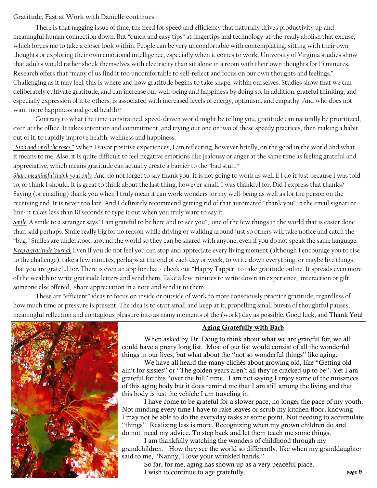# **Gratitude, Fast at Work with Danielle continues**

 There is that nagging issue of time, the need for speed and efficiency that naturally drives productivity up and meaningful human connection down. But "quick and easy tips" at fingertips and technology-at-the-ready abolish that excuse; which forces me to take a closer look within. People can be very uncomfortable with contemplating, sitting with their own thoughts or exploring their own emotional intelligence, especially when it comes to work. University of Virginia studies show that adults would rather shock themselves with electricity than sit alone in a room with their own thoughts for 15 minutes. Research offers that "many of us find it too uncomfortable to self-reflect and focus on our own thoughts and feelings." Challenging as it may feel, this is where and how gratitude begins to take shape, within ourselves. Studies show that we can deliberately cultivate gratitude, and can increase our well-being and happiness by doing so. In addition, grateful thinking, and especially expression of it to others, is associated with increased levels of energy, optimism, and empathy. And who does not want more happiness and good health?!

Contrary to what the time-constrained, speed-driven world might be telling you, gratitude can naturally be prioritized, even at the office. It takes intention and commitment, and trying out one or two of these speedy practices, then making a habit out of it, to rapidly improve health, wellness and happiness:

*"Stop and smell the roses."* When I savor positive experiences, I am reflecting, however briefly, on the good in the world and what it means to me. Also, it is quite difficult to feel negative emotions like jealousy or anger at the same time as feeling grateful and appreciative, which means gratitude can actually create a barrier to the "bad stuff."

*Share meaningful thank yous only.* And do not forget to say thank you. It is not going to work as well if I do it just because I was told to, or think I should. It is great to think about the last thing, however small, I was thankful for: Did I express that thanks? Saying (or emailing) thank you when I truly mean it can work wonders for my well-being as well as for the person on the receiving end. It is never too late. And I definitely recommend getting rid of that automated "thank you" in the email signature line- it takes less than 10 seconds to type it out when you truly want to say it.

*Smile.* A smile to a stranger says "I am grateful to be here and to see you", one of the few things in the world that is easier done than said perhaps. Smile really big for no reason while driving or walking around just so others will take notice and catch the "bug." Smiles are understood around the world so they can be shared with anyone, even if you do not speak the same language. *Keep a gratitude journal.* Even if you do not feel you can stop and appreciate every living moment (although I encourage you to rise to the challenge), take a few minutes, perhaps at the end of each day or week, to write down everything, or maybe five things, that you are grateful for. There is even an app for that - check out "Happy Tapper" to take gratitude online. It spreads even more of the wealth to write gratitude letters and send them. Take a few minutes to write down an experience, interaction or gift someone else offered, share appreciation in a note and send it to them.

 These are "efficient" ideas to focus on inside or outside of work to more consciously practice gratitude, regardless of how much time or pressure is present. The idea is to start small and keep at it, propelling small bursts of thoughtful pauses, meaningful reflection and contagious pleasure into as many moments of the (work) day as possible. Good luck, and **Thank You**!



# Aging Gratefully with Barb

 When asked by Dr. Doug to think about what we are grateful for, we all could have a pretty long list. Most of our list would consist of all the wonderful things in our lives, but what about the "not so wonderful things" like aging.

 We have all heard the many clichés about growing old, like "Getting old ain't for sissies" or "The golden years aren't all they're cracked up to be". Yet I am grateful for this "over the hill" time. I am not saying I enjoy some of the nuisances of this aging body but it does remind me that I am still among the living and that this body is just the vehicle I am traveling in.

 I have come to be grateful for a slower pace, no longer the pace of my youth. Not minding every time I have to rake leaves or scrub my kitchen floor, knowing I may not be able to do the everyday tasks at some point. Not needing to accumulate "things". Realizing less is more. Recognizing when my grown children do and do not need my advice. To step back and let them teach me some things.

 I am thankfully watching the wonders of childhood through my grandchildren. How they see the world so differently, like when my granddaughter said to me, "Nanny, I love your wrinkled hands."

 So far, for me, aging has shown up as a very peaceful place. I wish to continue to age gratefully.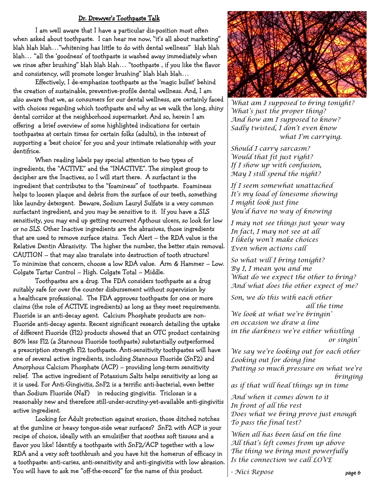# Dr. Drewyer's Toothpaste Talk

 I am well aware that I have a particular dis-position most often when asked about toothpaste. I can hear me now, "it's all about marketing" blah blah blah…"whitening has little to do with dental wellness" blah blah blah… "all the 'goodness' of toothpaste is washed away immediately when we rinse after brushing" blah blah blah… "toothpaste , if you like the flavor and consistency, will promote longer brushing" blah blah blah…

 Effectively, I de-emphasize toothpaste as the 'magic bullet' behind the creation of sustainable, preventive-profile dental wellness. And, I am also aware that we, as consumers for our dental wellness, are certainly faced with choices regarding which toothpaste and why as we walk the long, shiny dental corridor at the neighborhood supermarket. And so, herein I am offering a brief overview of some highlighted indications for certain toothpastes at certain times for certain folks (adults), in the interest of supporting a 'best choice' for you and your intimate relationship with your dentifrice.

 When reading labels pay special attention to two types of ingredients, the "ACTIVE" and the "INACTIVE". The simplest group to decipher are the Inactives, so I will start there. A surfactant is the ingredient that contributes to the "foaminess" of toothpaste. Foaminess helps to loosen plaque and debris from the surface of our teeth, something like laundry detergent. Beware, Sodium Lauryl Sulfate is a very common surfactant ingredient, and you may be sensitive to it. If you have a SLS sensitivity, you may end up getting recurrent Apthous ulcers, so look for low or no SLS. Other Inactive ingredients are the abrasives, those ingredients that are used to remove surface stains. Tech Alert – the RDA value is the Relative Dentin Abrasivity. The higher the number, the better stain removal. CAUTION – that may also translate into destruction of tooth structure! To minimize that concern, choose a low RDA value. Arm & Hammer – Low. Colgate Tartar Control – High. Colgate Total – Middle.

 Toothpastes are a drug. The FDA considers toothpaste as a drug suitably safe for over the counter disbursement without supervision by a healthcare professional. The FDA approves toothpaste for one or more claims (the role of ACTIVE ingredients) as long as they meet requirements. Fluoride is an anti-decay agent. Calcium Phosphate products are non-Fluoride anti-decay agents. Recent significant research detailing the uptake of different Fluoride (Fl2) products showed that an OTC product containing 80% less Fl2 (a Stannous Fluoride toothpaste) substantially outperformed a prescription strength Fl2 toothpaste. Anti-sensitivity toothpastes will have one of several active ingredients, including Stannous Fluoride (SnF2) and Amorphous Calcium Phosphate (ACP) – providing long-term sensitivity relief. The active ingredient of Potassium Salts helps sensitivity as long as it is used. For Anti-Gingivitis, SnF2 is a terrific anti-bacterial, even better than Sodium Fluoride (NaF) in reducing gingivitis. Triclosan is a reasonably new and therefore still-under-scrutiny-yet-available anti-gingivitis active ingredient.

 Looking for Adult protection against erosion, those ditched notches at the gumline or heavy tongue-side wear surfaces? SnF2 with ACP is your recipe of choice, ideally with an emulsifier that soothes soft tissues and a flavor you like! Identify a toothpaste with SnF2/ACP together with a low RDA and a very soft toothbrush and you have hit the homerun of efficacy in a toothpaste: anti-caries, anti-sensitivity and anti-gingivitis with low abrasion. You will have to ask me "off-the-record" for the name of this product.



*What am I supposed to bring tonight? What's just the proper thing? And how am I supposed to know? Sadly twisted, I don't even know what I'm carrying.* 

*Should I carry sarcasm? Would that fit just right? If I show up with confusion, May I still spend the night?* 

*If I seem somewhat unattached It's my load of lonesome showing I might look just fine You'd have no way of knowing* 

*I may not see things just your way In fact, I may not see at all I likely won't make choices Even when actions call* 

*So what will I bring tonight? By I, I mean you and me What do we expect the other to bring? And what does the other expect of me?* 

*Son, we do this with each other all the time We look at what we're bringin' on occasion we draw a line in the darkness we're either whistling or singin'* 

*We say we're looking out for each other Looking out for doing fine Putting so much pressure on what we're bringing* 

*as if that will heal things up in time* 

*And when it comes down to it In front of all the rest Does what we bring prove just enough To pass the final test?* 

*When all has been laid on the line All that's left comes from up above The thing we bring most powerfully Is the connection we call LOVE* 

*- Nici Repose*